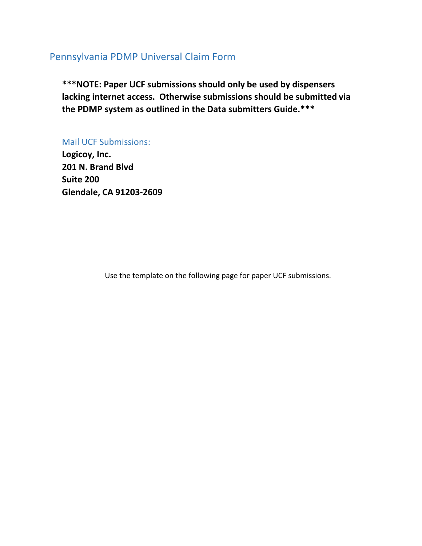## Pennsylvania PDMP Universal Claim Form

\*\*\*NOTE: Paper UCF submissions should only be used by dispensers lacking internet access. Otherwise submissions should be submitted via the P**D**MP **system** as outlined in the **Data submitters Guide**.\*\*\*

Mail UCF Submissions:

**Logicoy, Inc. 201 N. Brand Blvd Suite 200 Glendale, CA 91203-2609**

Use the template on the following page for paper UCF submissions.